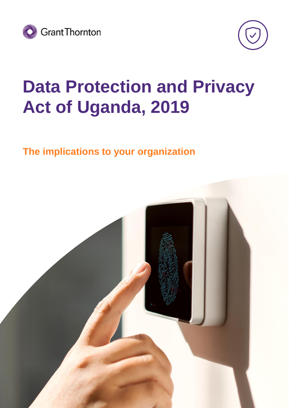



## **Data Protection and Privacy Act of Uganda, 2019**

### **The implications to your organization**

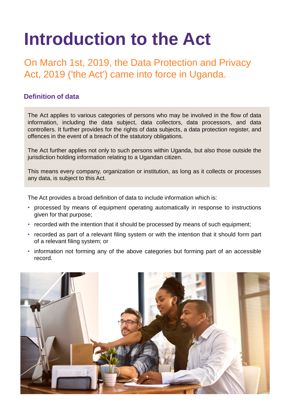# **Introduction to the Act**

On March 1st, 2019, the Data Protection and Privacy Act, 2019 ('the Act') came into force in Uganda.

#### **Definition of data**

The Act applies to various categories of persons who may be involved in the flow of data information, including the data subject, data collectors, data processors, and data controllers. It further provides for the rights of data subjects, a data protection register, and offences in the event of a breach of the statutory obligations.

The Act further applies not only to such persons within Uganda, but also those outside the jurisdiction holding information relating to a Ugandan citizen.

This means every company, organization or institution, as long as it collects or processes any data, is subject to this Act.

The Act provides a broad definition of data to include information which is:

- processed by means of equipment operating automatically in response to instructions given for that purpose;
- recorded with the intention that it should be processed by means of such equipment;
- recorded as part of a relevant filing system or with the intention that it should form part of a relevant filing system; or
- information not forming any of the above categories but forming part of an accessible record.

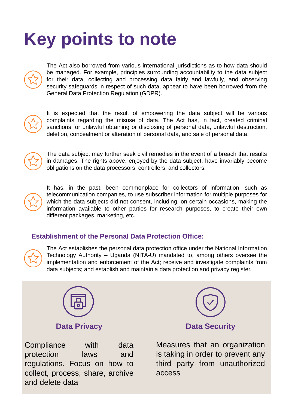# **Key points to note**



The Act also borrowed from various international jurisdictions as to how data should be managed. For example, principles surrounding accountability to the data subject for their data, collecting and processing data fairly and lawfully, and observing security safeguards in respect of such data, appear to have been borrowed from the General Data Protection Regulation (GDPR).



It is expected that the result of empowering the data subject will be various complaints regarding the misuse of data. The Act has, in fact, created criminal sanctions for unlawful obtaining or disclosing of personal data, unlawful destruction, deletion, concealment or alteration of personal data, and sale of personal data.



The data subject may further seek civil remedies in the event of a breach that results in damages. The rights above, enjoyed by the data subject, have invariably become obligations on the data processors, controllers, and collectors.



It has, in the past, been commonplace for collectors of information, such as telecommunication companies, to use subscriber information for multiple purposes for which the data subjects did not consent, including, on certain occasions, making the information available to other parties for research purposes, to create their own different packages, marketing, etc.

#### **Establishment of the Personal Data Protection Office:**



The Act establishes the personal data protection office under the National Information Technology Authority – Uganda (NITA-U) mandated to, among others oversee the implementation and enforcement of the Act; receive and investigate complaints from data subjects; and establish and maintain a data protection and privacy register.



#### **Data Privacy**

Compliance with data protection laws and regulations. Focus on how to collect, process, share, archive and delete data



Measures that an organization is taking in order to prevent any third party from unauthorized access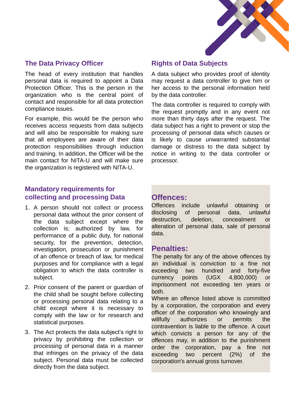

#### **The Data Privacy Officer**

The head of every institution that handles personal data is required to appoint a Data Protection Officer. This is the person in the organization who is the central point of contact and responsible for all data protection compliance issues.

For example, this would be the person who receives access requests from data subjects and will also be responsible for making sure that all employees are aware of their data protection responsibilities through induction and training. In addition, the Officer will be the main contact for NITA-U and will make sure the organization is registered with NITA-U.

#### **Rights of Data Subjects**

A data subject who provides proof of identity may request a data controller to give him or her access to the personal information held by the data controller.

The data controller is required to comply with the request promptly and in any event not more than thirty days after the request. The data subject has a right to prevent or stop the processing of personal data which causes or is likely to cause unwarranted substantial damage or distress to the data subject by notice in writing to the data controller or processor.

#### **Mandatory requirements for collecting and processing Data**

- 1. A person should not collect or process personal data without the prior consent of the data subject except where the collection is; authorized by law, for performance of a public duty, for national security, for the prevention, detection, investigation, prosecution or punishment of an offence or breach of law, for medical purposes and for compliance with a legal obligation to which the data controller is subject.
- 2. Prior consent of the parent or guardian of the child shall be sought before collecting or processing personal data relating to a child except where it is necessary to comply with the law or for research and statistical purposes.
- 3. The Act protects the data subject's right to privacy by prohibiting the collection or processing of personal data in a manner that infringes on the privacy of the data subject. Personal data must be collected directly from the data subject.

### **Offences:**

Offences include unlawful obtaining or disclosing of personal data, unlawful destruction, deletion, concealment or alteration of personal data, sale of personal data.

#### **Penalties:**

The penalty for any of the above offences by an individual is conviction to a fine not exceeding two hundred and forty-five currency points (UGX 4,800,000) or imprisonment not exceeding ten years or both.

Where an offence listed above is committed by a corporation, the corporation and every officer of the corporation who knowingly and willfully authorizes or permits the contravention is liable to the offence. A court which convicts a person for any of the offences may, in addition to the punishment order the corporation, pay a fine not exceeding two percent (2%) of the corporation's annual gross turnover.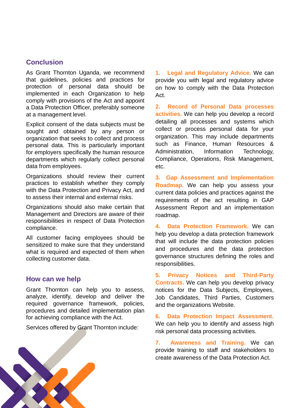#### **Conclusion**

As Grant Thornton Uganda, we recommend that guidelines, policies and practices for protection of personal data should be implemented in each Organization to help comply with provisions of the Act and appoint a Data Protection Officer, preferably someone at a management level.

Explicit consent of the data subjects must be sought and obtained by any person or organization that seeks to collect and process personal data. This is particularly important for employers specifically the human resource departments which regularly collect personal data from employees.

Organizations should review their current practices to establish whether they comply with the Data Protection and Privacy Act, and to assess their internal and external risks.

Organizations should also make certain that Management and Directors are aware of their responsibilities in respect of Data Protection compliance.

All customer facing employees should be sensitized to make sure that they understand what is required and expected of them when collecting customer data.

#### **How can we help**

Grant Thornton can help you to assess, analyze, identify, develop and deliver the required governance framework, policies, procedures and detailed implementation plan for achieving compliance with the Act.

Services offered by Grant Thornton include:

**1. Legal and Regulatory Advice.** We can provide you with legal and regulatory advice on how to comply with the Data Protection Act.

**2. Record of Personal Data processes activities.** We can help you develop a record detailing all processes and systems which collect or process personal data for your organization. This may include departments such as Finance, Human Resources & Administration, Information Technology, Compliance, Operations, Risk Management, etc.

**3. Gap Assessment and Implementation Roadmap.** We can help you assess your current data policies and practices against the requirements of the act resulting in GAP Assessment Report and an implementation roadmap.

**4. Data Protection Framework.** We can help you develop a data protection framework that will include the data protection policies and procedures and the data protection governance structures defining the roles and responsibilities.

**5. Privacy Notices and Third-Party Contracts.** We can help you develop privacy notices for the Data Subjects, Employees, Job Candidates, Third Parties, Customers and the organizations Website.

**6. Data Protection Impact Assessment.** We can help you to identify and assess high risk personal data processing activities.

**7. Awareness and Training.** We can provide training to staff and stakeholders to create awareness of the Data Protection Act.

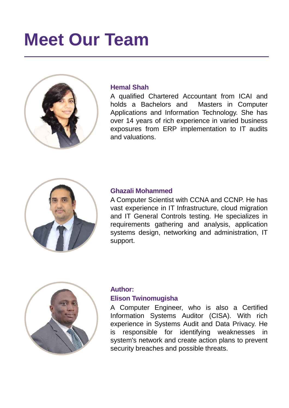## **Meet Our Team**



#### **Hemal Shah**

A qualified Chartered Accountant from ICAI and holds a Bachelors and Masters in Computer Applications and Information Technology. She has over 14 years of rich experience in varied business exposures from ERP implementation to IT audits and valuations.



#### **Ghazali Mohammed**

A Computer Scientist with CCNA and CCNP. He has vast experience in IT Infrastructure, cloud migration and IT General Controls testing. He specializes in requirements gathering and analysis, application systems design, networking and administration, IT support.



#### **Author: Elison Twinomugisha**

A Computer Engineer, who is also a Certified Information Systems Auditor (CISA). With rich experience in Systems Audit and Data Privacy. He is responsible for identifying weaknesses in system's network and create action plans to prevent security breaches and possible threats.